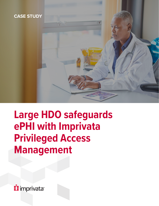

# **Large HDO safeguards ePHI with Imprivata Privileged Access Management**

*i* imprivata<sup>®</sup>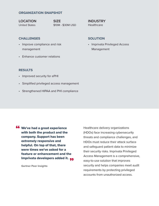#### **ORGANIZATION SNAPSHOT**

**LOCATION** United States

**SIZE** \$10M - \$30M USD

#### **CHALLENGES**

- Improve compliance and risk management
- Enhance customer relations

#### **SOLUTION**

**INDUSTRY Healthcare** 

• Imprivata Privileged Access Management

#### **RESULTS**

- Improved security for ePHI
- Simplified privileged access management
- Strengthened HIPAA and PHI compliance

**66** We've had a great experience<br>with both the product and the with both the product and the company. Support has been extremely responsive and helpful. On top of that, there were times we've asked for a feature or enhancement and the Imprivata developers added it. 99

**Gartner Peer Insights**

Healthcare delivery organizations (HDOs) face increasing cybersecurity threats and compliance challenges, and HDOs must reduce their attack surface and safeguard patient data to minimize their security risks. Imprivata Privileged Access Management is a comprehensive, easy-to-use solution that improves security and helps companies meet audit requirements by protecting privileged accounts from unauthorized access.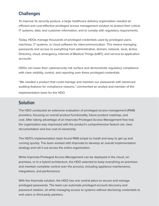## **Challenges**

To improve its security posture, a large healthcare delivery organization needed an efficient and cost-effective privileged access management solution to protect their critical IT systems, data, and customer information, and to comply with regulatory requirements.

Today, HDOs manage thousands of privileged credentials used by privileged users, machines, IT systems, or cloud software for intercommunication. This means managing passwords and access to everything from administrative, domain, network, local, Active Directory, cloud, emergency, Internet of Medical Things (IoMT), and service-to-application accounts.

HDOs can lower their cybersecurity risk surface and demonstrate regulatory compliance with clear visibility, control, and reporting over these privileged credentials.

"We needed a product that could manage and maintain our passwords with advanced auditing features for compliance reasons," commented an analyst and member of the implementation team for the HDO.

### **Solution**

The HDO conducted an extensive evaluation of privileged access management (PAM) providers, focusing on overall product functionality, future product roadmap, and cost. After taking advantage of an Imprivata Privileged Access Management free trial, the organization was impressed with the product's comprehensive feature set, clear documentation and low cost of ownership.

The HDO's implementation team found PAM simple to install and easy to get up and running quickly. The team worked with Imprivata to develop an overall implementation strategy and roll it out across the entire organization.

While Imprivata Privileged Access Management can be deployed in the cloud, onpremises, or in a hybrid architecture, the HDO selected to keep everything on-premises and maintain complete control over the process, including appliance maintenance, integrations, and performance.

With the Imprivata solution, the HDO has one central place to secure and manage privileged passwords. The team can automate privileged account discovery and password rotation, all while managing access to systems without disclosing credentials to end users or third-party partners.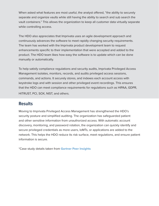When asked what features are most useful, the analyst offered, "the ability to securely separate and organize vaults while still having the ability to search and sub search the vault containers." This allows the organization to keep all customer data virtually separate while controlling access.

The HDO also appreciates that Imprivata uses an agile development approach and continuously advances the software to meet rapidly changing security requirements. The team has worked with the Imprivata product development team to request enhancements specific to their implementation that were accepted and added to the product. The HDO team likes how easy the software is to update which can be done manually or automatically.

To help satisfy compliance regulations and security audits, Imprivata Privileged Access Management isolates, monitors, records, and audits privileged access sessions, commands, and actions. It securely stores, and indexes each account access with keystroke logs and with session and other privileged event recordings. This ensures that the HDO can meet compliance requirements for regulations such as HIPAA, GDPR, HITRUST, PCI, SOX, NIST, and others.

**Results**

Moving to Imprivata Privileged Access Management has strengthened the HDO's security posture and simplified auditing. The organization has safeguarded patient and other sensitive information from unauthorized access. With automatic account discovery, monitoring, and password rotation, the organization can quickly identify and secure privileged credentials as more users, IoMTs, or applications are added to the network. This helps the HDO reduce its risk surface, meet regulations, and ensure patient information is secure.

\*Case study details taken from **[Gartner Peer Insights](https://www.gartner.com/reviews/market/privileged-access-management/vendor/imprivata-xton-technologies/product/xton-access-manager/review/view/3488192)**